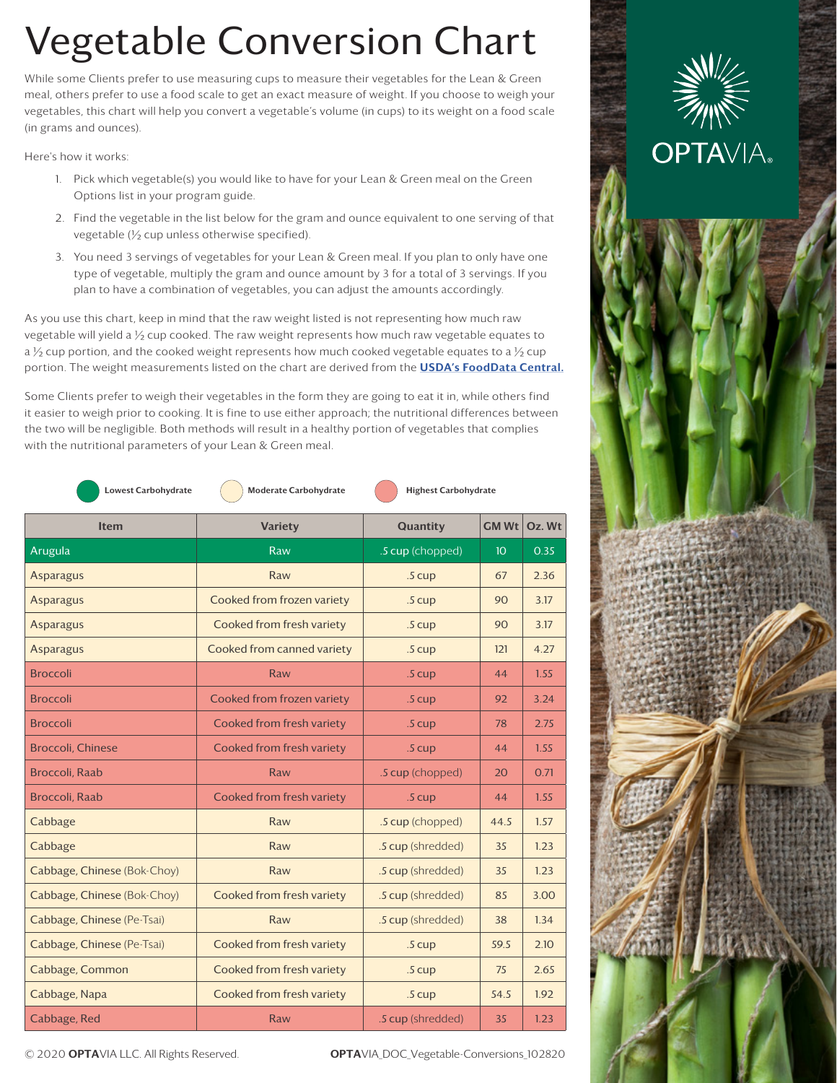## Vegetable Conversion Chart

While some Clients prefer to use measuring cups to measure their vegetables for the Lean & Green meal, others prefer to use a food scale to get an exact measure of weight. If you choose to weigh your vegetables, this chart will help you convert a vegetable's volume (in cups) to its weight on a food scale (in grams and ounces).

Here's how it works:

- 1. Pick which vegetable(s) you would like to have for your Lean & Green meal on the Green Options list in your program guide.
- 2. Find the vegetable in the list below for the gram and ounce equivalent to one serving of that vegetable (½ cup unless otherwise specified).
- 3. You need 3 servings of vegetables for your Lean & Green meal. If you plan to only have one type of vegetable, multiply the gram and ounce amount by 3 for a total of 3 servings. If you plan to have a combination of vegetables, you can adjust the amounts accordingly.

As you use this chart, keep in mind that the raw weight listed is not representing how much raw vegetable will yield a  $\frac{1}{2}$  cup cooked. The raw weight represents how much raw vegetable equates to a  $\frac{1}{2}$  cup portion, and the cooked weight represents how much cooked vegetable equates to a  $\frac{1}{2}$  cup portion. The weight measurements listed on the chart are derived from the [USDA's FoodData Centr](https://fdc.nal.usda.gov/fdc-app.html#/food-details/168463/nutrients)al.

Some Clients prefer to weigh their vegetables in the form they are going to eat it in, while others find it easier to weigh prior to cooking. It is fine to use either approach; the nutritional differences between the two will be negligible. Both methods will result in a healthy portion of vegetables that complies with the nutritional parameters of your Lean & Green meal.

| <b>Lowest Carbohydrate</b>  | Moderate Carbohydrate      | <b>Highest Carbohydrate</b> |                 |        |
|-----------------------------|----------------------------|-----------------------------|-----------------|--------|
| <b>Item</b>                 | <b>Variety</b>             | Quantity                    | <b>GMWt</b>     | Oz. Wt |
| Arugula                     | Raw                        | .5 cup (chopped)            | 10 <sup>°</sup> | 0.35   |
| <b>Asparagus</b>            | Raw                        | .5 cup                      | 67              | 2.36   |
| <b>Asparagus</b>            | Cooked from frozen variety | .5 cup                      | 90              | 3.17   |
| <b>Asparagus</b>            | Cooked from fresh variety  | .5 cup                      | 90              | 3.17   |
| <b>Asparagus</b>            | Cooked from canned variety | .5 cup                      | 121             | 4.27   |
| <b>Broccoli</b>             | Raw                        | .5 cup                      | 44              | 1.55   |
| <b>Broccoli</b>             | Cooked from frozen variety | .5 cup                      | 92              | 3.24   |
| <b>Broccoli</b>             | Cooked from fresh variety  | .5 cup                      | 78              | 2.75   |
| <b>Broccoli, Chinese</b>    | Cooked from fresh variety  | $.5 \text{ cup}$            | 44              | 1.55   |
| <b>Broccoli</b> , Raab      | Raw                        | .5 cup (chopped)            | 20              | 0.71   |
| <b>Broccoli</b> , Raab      | Cooked from fresh variety  | .5 cup                      | 44              | 1.55   |
| Cabbage                     | Raw                        | .5 cup (chopped)            | 44.5            | 1.57   |
| Cabbage                     | Raw                        | .5 cup (shredded)           | 35              | 1.23   |
| Cabbage, Chinese (Bok-Choy) | Raw                        | .5 cup (shredded)           | 35              | 1.23   |
| Cabbage, Chinese (Bok-Choy) | Cooked from fresh variety  | .5 cup (shredded)           | 85              | 3.00   |
| Cabbage, Chinese (Pe-Tsai)  | Raw                        | .5 cup (shredded)           | 38              | 1.34   |
| Cabbage, Chinese (Pe-Tsai)  | Cooked from fresh variety  | .5 cup                      | 59.5            | 2.10   |
| Cabbage, Common             | Cooked from fresh variety  | .5 cup                      | 75              | 2.65   |
| Cabbage, Napa               | Cooked from fresh variety  | $.5 \text{ cup}$            | 54.5            | 1.92   |
| Cabbage, Red                | Raw                        | .5 cup (shredded)           | 35              | 1.23   |



© 2020 OPTAVIA LLC. All Rights Reserved. OPTAVIA\_DOC\_Vegetable-Conversions\_102820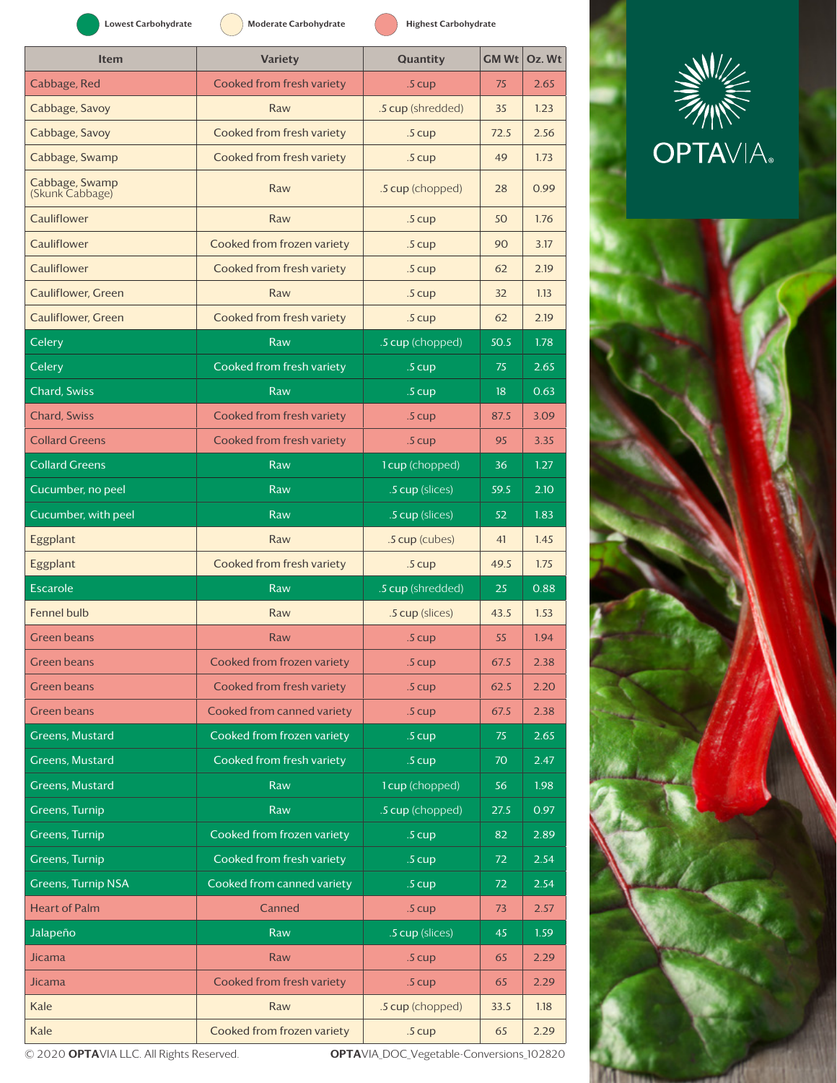| <b>Lowest Carbohydrate</b>        | <b>Moderate Carbohydrate</b> | <b>Highest Carbohydrate</b> |      |        |
|-----------------------------------|------------------------------|-----------------------------|------|--------|
| <b>Item</b>                       | <b>Variety</b>               | Quantity                    | GMWt | Oz. Wt |
| Cabbage, Red                      | Cooked from fresh variety    | .5 cup                      | 75   | 2.65   |
| Cabbage, Savoy                    | Raw                          | .5 cup (shredded)           | 35   | 1.23   |
| Cabbage, Savoy                    | Cooked from fresh variety    | $.5 \text{ cup}$            | 72.5 | 2.56   |
| Cabbage, Swamp                    | Cooked from fresh variety    | $.5 \text{ cup}$            | 49   | 1.73   |
| Cabbage, Swamp<br>(Skunk Cabbage) | Raw                          | .5 cup (chopped)            | 28   | 0.99   |
| Cauliflower                       | Raw                          | $.5 \text{ cup}$            | 50   | 1.76   |
| Cauliflower                       | Cooked from frozen variety   | $.5 \text{ cup}$            | 90   | 3.17   |
| Cauliflower                       | Cooked from fresh variety    | $.5 \text{ cup}$            | 62   | 2.19   |
| <b>Cauliflower, Green</b>         | Raw                          | $.5 \text{ cup}$            | 32   | 1.13   |
| <b>Cauliflower</b> , Green        | Cooked from fresh variety    | $.5 \text{ cup}$            | 62   | 2.19   |
| Celery                            | Raw                          | .5 cup (chopped)            | 50.5 | 1.78   |
| Celery                            | Cooked from fresh variety    | $.5 \text{ cup}$            | 75   | 2.65   |
| <b>Chard, Swiss</b>               | Raw                          | $.5 \text{ cup}$            | 18   | 0.63   |
| <b>Chard, Swiss</b>               | Cooked from fresh variety    | $.5 \text{ cup}$            | 87.5 | 3.09   |
| <b>Collard Greens</b>             | Cooked from fresh variety    | $.5 \text{ cup}$            | 95   | 3.35   |
| <b>Collard Greens</b>             | Raw                          | 1 cup (chopped)             | 36   | 1.27   |
| Cucumber, no peel                 | Raw                          | .5 cup (slices)             | 59.5 | 2.10   |
| Cucumber, with peel               | Raw                          | .5 cup (slices)             | 52   | 1.83   |
| Eggplant                          | Raw                          | .5 cup (cubes)              | 41   | 1.45   |
| Eggplant                          | Cooked from fresh variety    | $.5 \text{ cup}$            | 49.5 | 1.75   |
| <b>Escarole</b>                   | Raw                          | .5 cup (shredded)           | 25   | 0.88   |
| <b>Fennel bulb</b>                | Raw                          | .5 cup (slices)             | 43.5 | 1.53   |
| <b>Green beans</b>                | Raw                          | .5 <sub>cup</sub>           | 55   | 1.94   |
| <b>Green beans</b>                | Cooked from frozen variety   | .5 cup                      | 67.5 | 2.38   |
| <b>Green beans</b>                | Cooked from fresh variety    | .5 cup                      | 62.5 | 2.20   |
| <b>Green beans</b>                | Cooked from canned variety   | .5 cup                      | 67.5 | 2.38   |
| <b>Greens, Mustard</b>            | Cooked from frozen variety   | .5 cup                      | 75   | 2.65   |
| <b>Greens, Mustard</b>            | Cooked from fresh variety    | .5 cup                      | 70   | 2.47   |
| <b>Greens, Mustard</b>            | Raw                          | 1 cup (chopped)             | 56   | 1.98   |
| <b>Greens, Turnip</b>             | Raw                          | .5 cup (chopped)            | 27.5 | 0.97   |
| <b>Greens, Turnip</b>             | Cooked from frozen variety   | .5 cup                      | 82   | 2.89   |
| <b>Greens, Turnip</b>             | Cooked from fresh variety    | .5 cup                      | 72   | 2.54   |
| <b>Greens, Turnip NSA</b>         | Cooked from canned variety   | .5 cup                      | 72   | 2.54   |
| <b>Heart of Palm</b>              | Canned                       | .5 cup                      | 73   | 2.57   |
| Jalapeño                          | Raw                          | .5 cup (slices)             | 45   | 1.59   |
| <b>Jicama</b>                     | Raw                          | .5 cup                      | 65   | 2.29   |
| <b>Jicama</b>                     | Cooked from fresh variety    | .5 cup                      | 65   | 2.29   |
| Kale                              | Raw                          | .5 cup (chopped)            | 33.5 | 1.18   |
| Kale                              | Cooked from frozen variety   | .5 cup                      | 65   | 2.29   |





© 2020 OPTAVIA LLC. All Rights Reserved. <br>
OPTAVIA\_DOC\_Vegetable-Conversions\_102820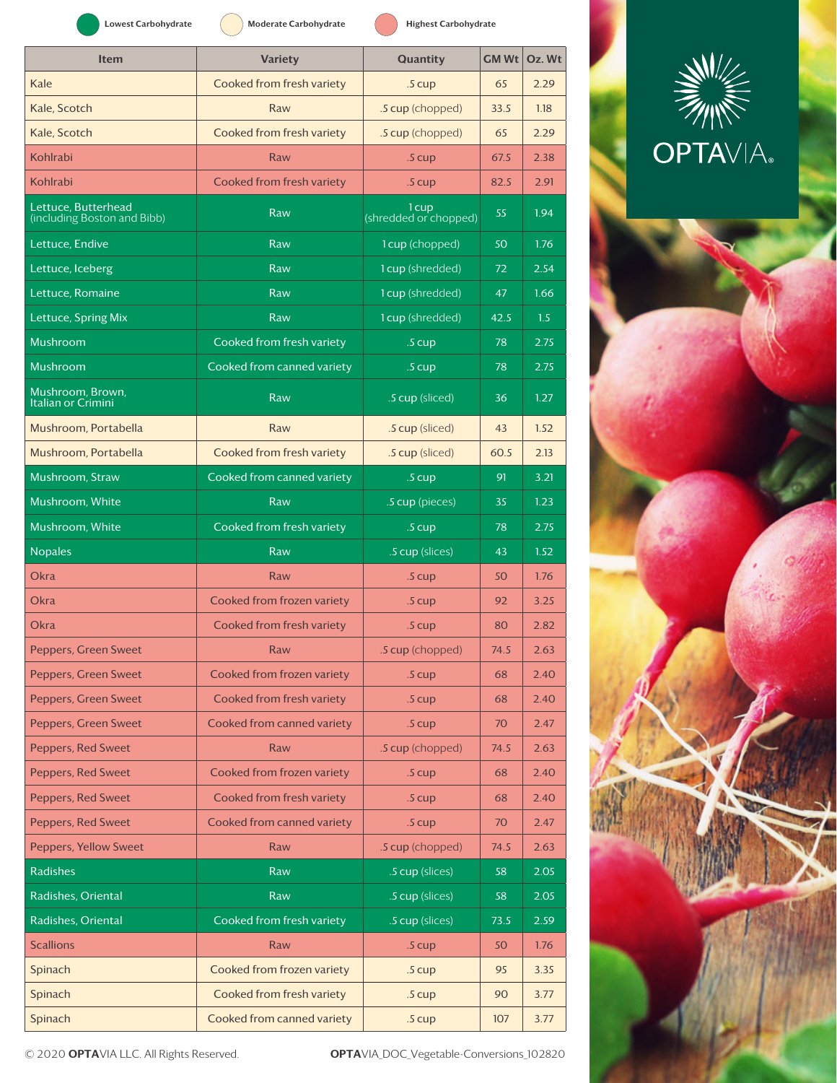| <b>Lowest Carbohydrate</b>                         | Moderate Carbohydrate      | <b>Highest Carbohydrate</b>    |      |           |
|----------------------------------------------------|----------------------------|--------------------------------|------|-----------|
| <b>Item</b>                                        | <b>Variety</b>             | Quantity                       | GMWt | $Oz$ . Wt |
| Kale                                               | Cooked from fresh variety  | .5 cup                         | 65   | 2.29      |
| Kale, Scotch                                       | Raw                        | .5 cup (chopped)               | 33.5 | 1.18      |
| Kale, Scotch                                       | Cooked from fresh variety  | .5 cup (chopped)               | 65   | 2.29      |
| Kohlrabi                                           | Raw                        | $.5 \text{ cup}$               | 67.5 | 2.38      |
| Kohlrabi                                           | Cooked from fresh variety  | $.5 \text{ cup}$               | 82.5 | 2.91      |
| Lettuce, Butterhead<br>(including Boston and Bibb) | Raw                        | 1 cup<br>(shredded or chopped) | 55   | 1.94      |
| Lettuce, Endive                                    | Raw                        | 1 cup (chopped)                | 50   | 1.76      |
| Lettuce, Iceberg                                   | Raw                        | 1 cup (shredded)               | 72   | 2.54      |
| Lettuce, Romaine                                   | Raw                        | 1 cup (shredded)               | 47   | 1.66      |
| Lettuce, Spring Mix                                | Raw                        | 1 cup (shredded)               | 42.5 | 1.5       |
| Mushroom                                           | Cooked from fresh variety  | $.5 \text{ cup}$               | 78   | 2.75      |
| Mushroom                                           | Cooked from canned variety | .5 cup                         | 78   | 2.75      |
| Mushroom, Brown,<br>Italian or Crimini             | Raw                        | .5 cup (sliced)                | 36   | 1.27      |
| Mushroom, Portabella                               | Raw                        | .5 cup (sliced)                | 43   | 1.52      |
| Mushroom, Portabella                               | Cooked from fresh variety  | .5 cup (sliced)                | 60.5 | 2.13      |
| Mushroom, Straw                                    | Cooked from canned variety | .5 cup                         | 91   | 3.21      |
| Mushroom, White                                    | Raw                        | .5 cup (pieces)                | 35   | 1.23      |
| Mushroom, White                                    | Cooked from fresh variety  | .5 cup                         | 78   | 2.75      |
| <b>Nopales</b>                                     | Raw                        | .5 cup (slices)                | 43   | 1.52      |
| <b>Okra</b>                                        | Raw                        | .5 cup                         | 50   | 1.76      |
| <b>Okra</b>                                        | Cooked from frozen variety | $.5 \text{ cup}$               | 92   | 3.25      |
| <b>Okra</b>                                        | Cooked from fresh variety  | .5 <sub>cup</sub>              | 80   | 2.82      |
| Peppers, Green Sweet                               | Raw                        | .5 cup (chopped)               | 74.5 | 2.63      |
| Peppers, Green Sweet                               | Cooked from frozen variety | .5 cup                         | 68   | 2.40      |
| Peppers, Green Sweet                               | Cooked from fresh variety  | .5 cup                         | 68   | 2.40      |
| Peppers, Green Sweet                               | Cooked from canned variety | .5 cup                         | 70   | 2.47      |
| Peppers, Red Sweet                                 | Raw                        | .5 cup (chopped)               | 74.5 | 2.63      |
| Peppers, Red Sweet                                 | Cooked from frozen variety | .5 cup                         | 68   | 2.40      |
| Peppers, Red Sweet                                 | Cooked from fresh variety  | .5 cup                         | 68   | 2.40      |
| Peppers, Red Sweet                                 | Cooked from canned variety | .5 cup                         | 70   | 2.47      |
| <b>Peppers, Yellow Sweet</b>                       | Raw                        | .5 cup (chopped)               | 74.5 | 2.63      |
| <b>Radishes</b>                                    | Raw                        | .5 cup (slices)                | 58   | 2.05      |
| Radishes, Oriental                                 | Raw                        | .5 cup (slices)                | 58   | 2.05      |
| Radishes, Oriental                                 | Cooked from fresh variety  | .5 cup (slices)                | 73.5 | 2.59      |
| <b>Scallions</b>                                   | Raw                        | .5 cup                         | 50   | 1.76      |
| Spinach                                            | Cooked from frozen variety | .5 cup                         | 95   | 3.35      |
| Spinach                                            |                            |                                |      |           |
|                                                    | Cooked from fresh variety  | .5 cup                         | 90   | 3.77      |





© 2020 OPTAVIA LLC. All Rights Reserved. OPTAVIA\_DOC\_Vegetable-Conversions\_102820